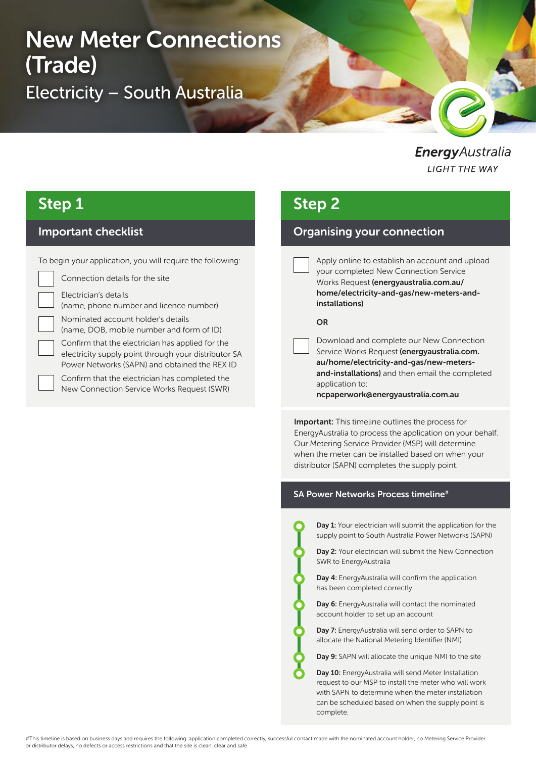# New Meter Connections (Trade) Electricity – South Australia

### EnergyAustralia **LIGHT THE WAY**

## Step 1

### Important checklist

To begin your application, you will require the following:

Connection details for the site

Electrician's details

(name, phone number and licence number)

Nominated account holder's details

(name, DOB, mobile number and form of ID)

Confirm that the electrician has applied for the electricity supply point through your distributor SA Power Networks (SAPN) and obtained the REX ID

Confirm that the electrician has completed the New Connection Service Works Request (SWR)

## Step 2

### Organising your connection

Apply online to establish an account and upload your completed New Connection Service Works Request (energyaustralia.com.au/ home/electricity-and-gas/new-meters-andinstallations)

#### OR

Download and complete our New Connection Service Works Request (energyaustralia.com. au/home/electricity-and-gas/new-metersand-installations) and then email the completed application to: ncpaperwork@energyaustralia.com.au

**Important:** This timeline outlines the process for EnergyAustralia to process the application on your behalf. Our Metering Service Provider (MSP) will determine when the meter can be installed based on when your distributor (SAPN) completes the supply point.

#### SA Power Networks Process timeline<sup>#</sup>

Day 1: Your electrician will submit the application for the supply point to South Australia Power Networks (SAPN)

Day 2: Your electrician will submit the New Connection SWR to EnergyAustralia

Day 4: EnergyAustralia will confirm the application has been completed correctly

Day 6: EnergyAustralia will contact the nominated account holder to set up an account

Day 7: EnergyAustralia will send order to SAPN to allocate the National Metering Identifier (NMI)

Day 9: SAPN will allocate the unique NMI to the site

Day 10: EnergyAustralia will send Meter Installation request to our MSP to install the meter who will work with SAPN to determine when the meter installation can be scheduled based on when the supply point is complete.

#This timeline is based on business days and requires the following: application completed correctly, successful contact made with the nominated account holder, no Metering Service Provider or distributor delays, no defects or access restrictions and that the site is clean, clear and safe.